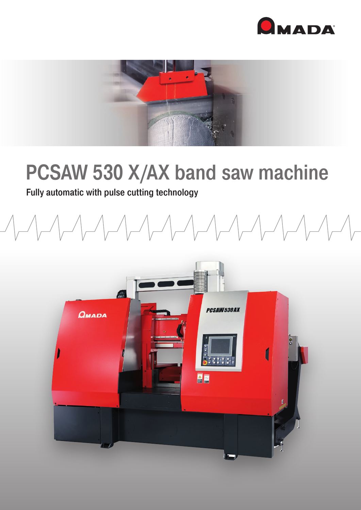



## PCSAW 530 X/AX band saw machine

## Fully automatic with pulse cutting technology

 $\begin{picture}(120,10) \put(0,0){\dashbox{0.5}(10,0){ }} \put(15,0){\dashbox{0.5}(10,0){ }} \put(15,0){\dashbox{0.5}(10,0){ }} \put(15,0){\dashbox{0.5}(10,0){ }} \put(15,0){\dashbox{0.5}(10,0){ }} \put(15,0){\dashbox{0.5}(10,0){ }} \put(15,0){\dashbox{0.5}(10,0){ }} \put(15,0){\dashbox{0.5}(10,0){ }} \put(15,0){\dashbox{0.5}(10,0){ }} \put(15,0){\dashbox$ 

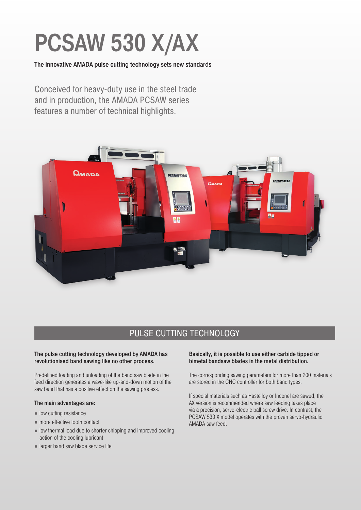# PCSAW 530 X/AX

The innovative AMADA pulse cutting technology sets new standards

Conceived for heavy-duty use in the steel trade and in production, the AMADA PCSAW series features a number of technical highlights.



## PULSE CUTTING TECHNOLOGY

## The pulse cutting technology developed by AMADA has revolutionised band sawing like no other process.

Predefined loading and unloading of the band saw blade in the feed direction generates a wave-like up-and-down motion of the saw band that has a positive effect on the sawing process.

#### The main advantages are:

- low cutting resistance
- more effective tooth contact
- low thermal load due to shorter chipping and improved cooling action of the cooling lubricant
- larger band saw blade service life

## Basically, it is possible to use either carbide tipped or bimetal bandsaw blades in the metal distribution.

The corresponding sawing parameters for more than 200 materials are stored in the CNC controller for both band types.

If special materials such as Hastelloy or Inconel are sawed, the AX version is recommended where saw feeding takes place via a precision, servo-electric ball screw drive. In contrast, the PCSAW 530 X model operates with the proven servo-hydraulic AMADA saw feed.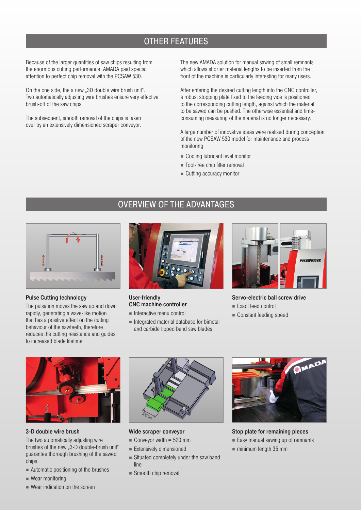## OTHER FEATURES

Because of the larger quantities of saw chips resulting from the enormous cutting performance, AMADA paid special attention to perfect chip removal with the PCSAW 530.

On the one side, the a new ..3D double wire brush unit". Two automatically adjusting wire brushes ensure very effective brush-off of the saw chips.

The subsequent, smooth removal of the chips is taken over by an extensively dimensioned scraper conveyor.

The new AMADA solution for manual sawing of small remnants which allows shorter material lengths to be inserted from the front of the machine is particularly interesting for many users.

After entering the desired cutting length into the CNC controller, a robust stopping plate fixed to the feeding vice is positioned to the corresponding cutting length, against which the material to be sawed can be pushed. The otherwise essential and timeconsuming measuring of the material is no longer necessary.

A large number of innovative ideas were realised during conception of the new PCSAW 530 model for maintenance and process monitoring

- Cooling lubricant level monitor
- Tool-free chip filter removal
- Cutting accuracy monitor

## OVERVIEW OF THE ADVANTAGES



#### Pulse Cutting technology

The pulsation moves the saw up and down rapidly, generating a wave-like motion that has a positive effect on the cutting behaviour of the sawteeth, therefore reduces the cutting resistance and guides to increased blade lifetime.



#### User-friendly CNC machine controller

- Interactive menu control
- Integrated material database for bimetal and carbide tipped band saw blades



Servo-electric ball screw drive

- Exact feed control
- Constant feeding speed



#### 3-D double wire brush

The two automatically adjusting wire brushes of the new "3-D double-brush unit" guarantee thorough brushing of the sawed chips.

- Automatic positioning of the brushes
- Wear monitoring
- Wear indication on the screen



#### Wide scraper conveyor

- $\blacksquare$  Conveyor width = 520 mm
- Extensively dimensioned
- Situated completely under the saw band line
- Smooth chip removal



Stop plate for remaining pieces

- Easy manual sawing up of remnants
- minimum length 35 mm